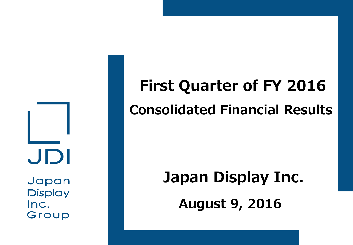JDI Japan **Display** 

Inc.

Group

# **First Quarter of FY 2016 Consolidated Financial Results**

# **August 9, 2016 Japan Display Inc.**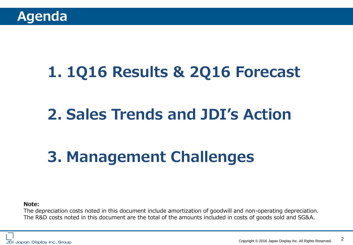# **1. 1Q16 Results & 2Q16 Forecast**

# **2. Sales Trends and JDI's Action**

# **3. Management Challenges**

**Note:**

The depreciation costs noted in this document include amortization of goodwill and non-operating depreciation. The R&D costs noted in this document are the total of the amounts included in costs of goods sold and SG&A.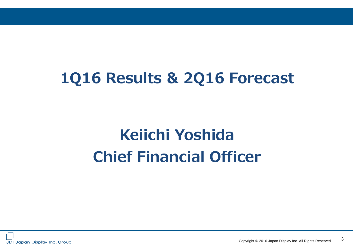# **1Q16 Results & 2Q16 Forecast**

# **Keiichi Yoshida Chief Financial Officer**

3 Copyright © 2016 Japan Display Inc. All Rights Reserved.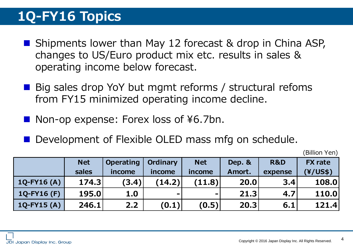### **1Q-FY16 Topics**

- Shipments lower than May 12 forecast & drop in China ASP, changes to US/Euro product mix etc. results in sales & operating income below forecast.
- Big sales drop YoY but mgmt reforms / structural refoms from FY15 minimized operating income decline.
- Non-op expense: Forex loss of ¥6.7bn.
- Development of Flexible OLED mass mfg on schedule.

(Billion Yen)

|                  | <b>Net</b> | <b>Operating</b> | <b>Ordinary</b> | <b>Net</b>     | Dep. & | R&D     | <b>FX</b> rate |
|------------------|------------|------------------|-----------------|----------------|--------|---------|----------------|
|                  | sales      | income           | income          | income         | Amort. | expense | (Y/US\$)       |
| $1Q-FY16(A)$     | 174.3      | (3.4)            | (14.2)          | (11.8)         | 20.0   | 3.4     | 108.0          |
| $1Q-FY16(F)$     | 195.0      | 1.0              | $\blacksquare$  | $\blacksquare$ | 21.3   | 4.7     | 110.0          |
| $1Q$ -FY15 $(A)$ | 246.1      | 2.2              | (0.1)           | (0.5)          | 20.3   | 6.1     | 121.4          |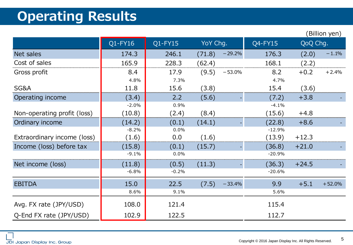# **Operating Results**

|                             |         |            |          |          |          |          | Billion yen) |
|-----------------------------|---------|------------|----------|----------|----------|----------|--------------|
|                             | Q1-FY16 | $Q1$ -FY15 | YoY Chg. |          | Q4-FY15  | QoQ Chg. |              |
| Net sales                   | 174.3   | 246.1      | (71.8)   | $-29.2%$ | 176.3    | (2.0)    | $-1.1%$      |
| Cost of sales               | 165.9   | 228.3      | (62.4)   |          | 168.1    | (2.2)    |              |
| Gross profit                | 8.4     | 17.9       | (9.5)    | $-53.0%$ | 8.2      | $+0.2$   | $+2.4%$      |
|                             | 4.8%    | 7.3%       |          |          | 4.7%     |          |              |
| SG&A                        | 11.8    | 15.6       | (3.8)    |          | 15.4     | (3.6)    |              |
| Operating income            | (3.4)   | 2.2        | (5.6)    |          | (7.2)    | $+3.8$   |              |
|                             | $-2.0%$ | 0.9%       |          |          | $-4.1%$  |          |              |
| Non-operating profit (loss) | (10.8)  | (2.4)      | (8.4)    |          | (15.6)   | $+4.8$   |              |
| Ordinary income             | (14.2)  | (0.1)      | (14.1)   |          | (22.8)   | $+8.6$   |              |
|                             | $-8.2%$ | 0.0%       |          |          | $-12.9%$ |          |              |
| Extraordinary income (loss) | (1.6)   | 0.0        | (1.6)    |          | (13.9)   | $+12.3$  |              |
| Income (loss) before tax    | (15.8)  | (0.1)      | (15.7)   |          | (36.8)   | $+21.0$  |              |
|                             | $-9.1%$ | 0.0%       |          |          | $-20.9%$ |          |              |
| Net income (loss)           | (11.8)  | (0.5)      | (11.3)   |          | (36.3)   | $+24.5$  |              |
|                             | $-6.8%$ | $-0.2%$    |          |          | $-20.6%$ |          |              |
| <b>EBITDA</b>               | 15.0    | 22.5       | (7.5)    | $-33.4%$ | 9.9      | $+5.1$   | $+52.0%$     |
|                             | 8.6%    | 9.1%       |          |          | 5.6%     |          |              |
| Avg. FX rate (JPY/USD)      | 108.0   | 121.4      |          |          | 115.4    |          |              |
| Q-End FX rate (JPY/USD)     | 102.9   | 122.5      |          |          | 112.7    |          |              |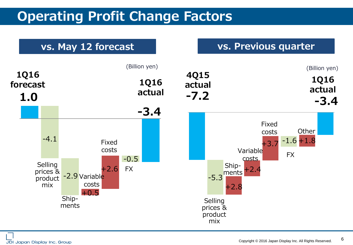### **Operating Profit Change Factors**

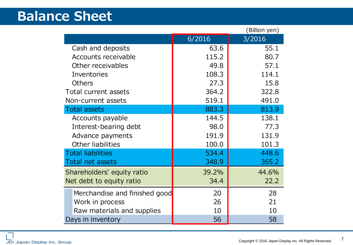#### **Balance Sheet**

|                               |                | (Billion yen) |  |
|-------------------------------|----------------|---------------|--|
|                               | 6/2016         | 3/2016        |  |
| Cash and deposits             | 63.6           | 55.1          |  |
| <b>Accounts receivable</b>    | 115.2          | 80.7          |  |
| Other receivables             | 49.8           | 57.1          |  |
| Inventories                   | 114.1<br>108.3 |               |  |
| <b>Others</b>                 | 27.3           | 15.8          |  |
| Total current assets          | 364.2          | 322.8         |  |
| Non-current assets            | 519.1          | 491.0         |  |
| <b>Total assets</b>           | 883.3          | 813.9         |  |
| Accounts payable              | 144.5          | 138.1         |  |
| Interest-bearing debt         | 98.0           | 77.3          |  |
| Advance payments              | 191.9          | 131.9         |  |
| Other liabilities             | 100.0          | 101.3         |  |
| <b>Total liabilities</b>      | 534.4          | 448.6         |  |
| Total net assets              | 348.9          | 365.2         |  |
| Shareholders' equity ratio    | 39.2%          | 44.6%         |  |
| Net debt to equity ratio      | 34.4           | 22.2          |  |
| Merchandise and finished good | 20             | 28            |  |
| Work in process               | 26             | 21            |  |
| Raw materials and supplies    | 10             | 10            |  |
| Days in inventory             | 56             | 58            |  |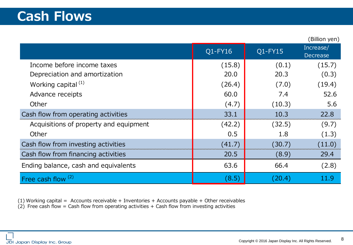|                                        |         |         | (UIIIUIT yur          |
|----------------------------------------|---------|---------|-----------------------|
|                                        | Q1-FY16 | Q1-FY15 | Increase/<br>Decrease |
| Income before income taxes             | (15.8)  | (0.1)   | (15.7)                |
| Depreciation and amortization          | 20.0    | 20.3    | (0.3)                 |
| Working capital $(1)$                  | (26.4)  | (7.0)   | (19.4)                |
| Advance receipts                       | 60.0    | 7.4     | 52.6                  |
| Other                                  | (4.7)   | (10.3)  | 5.6                   |
| Cash flow from operating activities    | 33.1    | 10.3    | 22.8                  |
| Acquisitions of property and equipment | (42.2)  | (32.5)  | (9.7)                 |
| Other                                  | 0.5     | 1.8     | (1.3)                 |
| Cash flow from investing activities    | (41.7)  | (30.7)  | (11.0)                |
| Cash flow from financing activities    | 20.5    | (8.9)   | 29.4                  |
| Ending balance, cash and equivalents   | 63.6    | 66.4    | (2.8)                 |
| Free cash flow <sup>(2)</sup>          | (8.5)   | (20.4)  | 11.9                  |

(1) Working capital = Accounts receivable + Inventories + Accounts payable + Other receivables

 $(2)$  Free cash flow = Cash flow from operating activities + Cash flow from investing activities

 $(Rillion  $van$ )$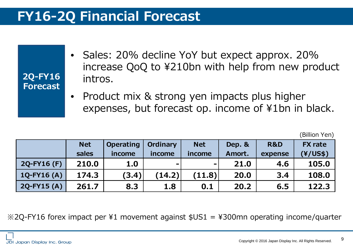### **FY16-2Q Financial Forecast**

| 2Q-FY16<br>Forecast | • Sales: 20% decline YoY but expect approx. 20%<br>increase QoQ to ¥210bn with help from new product<br>intros. |
|---------------------|-----------------------------------------------------------------------------------------------------------------|
|                     | • Product mix & strong yen impacts plus higher<br>expenses, but forecast op. income of ¥1bn in black.           |

|                  |            |                  |                 |                |        |                | (Billion Yen)  |
|------------------|------------|------------------|-----------------|----------------|--------|----------------|----------------|
|                  | <b>Net</b> | <b>Operating</b> | <b>Ordinary</b> | <b>Net</b>     | Dep. & | <b>R&amp;D</b> | <b>FX</b> rate |
|                  | sales      | income           | income          | income         | Amort. | expense        | (Y/US\$)       |
| 2Q-FY16 (F)      | 210.0      | 1.0              | $\sim$          | $\blacksquare$ | 21.0   | 4.6            | 105.0          |
| $1Q$ -FY16 $(A)$ | 174.3      | (3.4)            | (14.2)          | (11.8)         | 20.0   | 3.4            | 108.0          |
| $2Q$ -FY15 $(A)$ | 261.7      | 8.3              | 1.8             | 0.1            | 20.2   | 6.5            | 122.3          |

※2Q-FY16 forex impact per ¥1 movement against \$US1 = ¥300mn operating income/quarter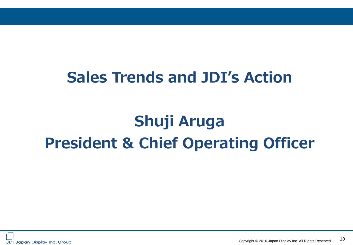# **Sales Trends and JDI's Action**

# **Shuji Aruga President & Chief Operating Officer**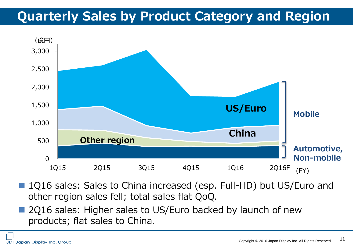### **Quarterly Sales by Product Category and Region**



- 1Q16 sales: Sales to China increased (esp. Full-HD) but US/Euro and other region sales fell; total sales flat QoQ.
- 2Q16 sales: Higher sales to US/Euro backed by launch of new products; flat sales to China.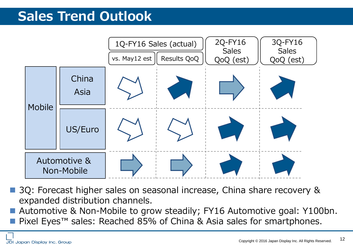### **Sales Trend Outlook**



 3Q: Forecast higher sales on seasonal increase, China share recovery & expanded distribution channels.

Automotive & Non-Mobile to grow steadily; FY16 Automotive goal: Y100bn.

■ Pixel Eyes<sup>™</sup> sales: Reached 85% of China & Asia sales for smartphones.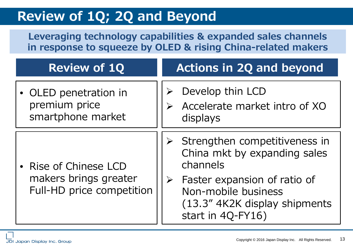### **Review of 1Q; 2Q and Beyond**

**Leveraging technology capabilities & expanded sales channels in response to squeeze by OLED & rising China-related makers**

| <b>Review of 1Q</b>                                                         | <b>Actions in 2Q and beyond</b>                                                                                                                                                                                      |  |  |
|-----------------------------------------------------------------------------|----------------------------------------------------------------------------------------------------------------------------------------------------------------------------------------------------------------------|--|--|
| • OLED penetration in<br>premium price<br>smartphone market                 | Develop thin LCD<br>Accelerate market intro of XO<br>displays                                                                                                                                                        |  |  |
| • Rise of Chinese LCD<br>makers brings greater<br>Full-HD price competition | Strengthen competitiveness in<br>➤<br>China mkt by expanding sales<br>channels<br>Faster expansion of ratio of<br>$\blacktriangleright$<br>Non-mobile business<br>(13.3" 4K2K display shipments<br>start in 4Q-FY16) |  |  |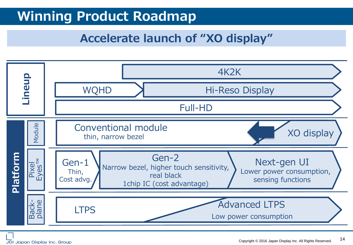### **Winning Product Roadmap**

#### **Accelerate launch of "XO display"**

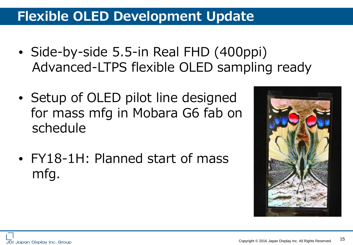### **Flexible OLED Development Update**

- Side-by-side 5.5-in Real FHD (400ppi) Advanced-LTPS flexible OLED sampling ready
- Setup of OLED pilot line designed for mass mfg in Mobara G6 fab on schedule
- FY18-1H: Planned start of mass mfg.

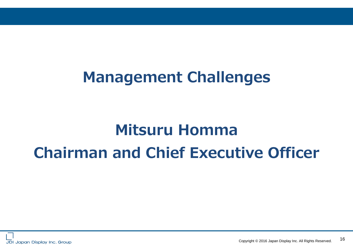# **Management Challenges**

# **Mitsuru Homma Chairman and Chief Executive Officer**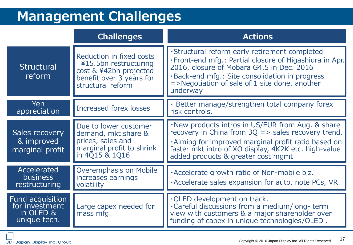### **Management Challenges**

|                                                                 | <b>Challenges</b>                                                                                                            | <b>Actions</b>                                                                                                                                                                                                                                                           |  |  |  |
|-----------------------------------------------------------------|------------------------------------------------------------------------------------------------------------------------------|--------------------------------------------------------------------------------------------------------------------------------------------------------------------------------------------------------------------------------------------------------------------------|--|--|--|
| Structural<br>reform                                            | Reduction in fixed costs<br>¥15.5bn restructuring<br>cost & ¥42bn projected<br>benefit over 3 years for<br>structural reform | ·Structural reform early retirement completed<br>. Front-end mfg.: Partial closure of Higashiura in Apr.<br>2016, closure of Mobara G4.5 in Dec. 2016<br>. Back-end mfg.: Site consolidation in progress<br>$=$ >Negotiation of sale of 1 site done, another<br>underway |  |  |  |
| Yen<br>appreciation                                             | Increased forex losses                                                                                                       | · Better manage/strengthen total company forex<br>risk controls.                                                                                                                                                                                                         |  |  |  |
| Sales recovery<br>& improved<br>marginal profit                 | Due to lower customer<br>demand, mkt share &<br>prices, sales and<br>marginal profit to shrink<br>in 4Q15 & 1Q16             | . New products intros in US/EUR from Aug. & share<br>recovery in China from $3Q \Rightarrow$ sales recovery trend.<br>. Aiming for improved marginal profit ratio based on<br>faster mkt intro of XO display, 4K2K etc. high-value<br>added products & greater cost mgmt |  |  |  |
| Accelerated<br><b>business</b><br>restructuring                 | Overemphasis on Mobile<br>increases earnings<br>volatility                                                                   | . Accelerate growth ratio of Non-mobile biz.<br>. Accelerate sales expansion for auto, note PCs, VR.                                                                                                                                                                     |  |  |  |
| Fund acquisition<br>for investment<br>in OLED &<br>unique tech. | Large capex needed for<br>mass mfg.                                                                                          | .OLED development on track.<br>. Careful discussions from a medium/long- term<br>view with customers & a major shareholder over<br>funding of capex in unique technologies/OLED.                                                                                         |  |  |  |